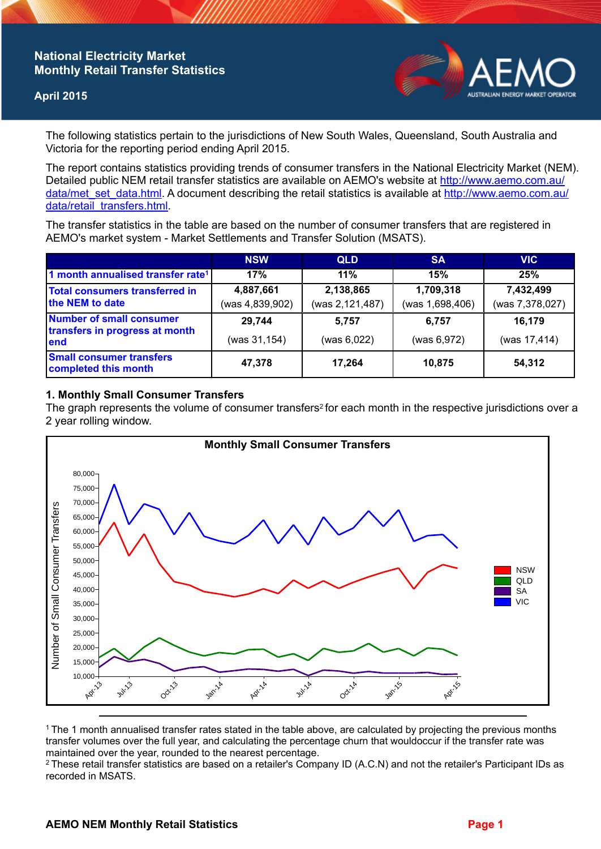## **National Electricity Market Monthly Retail Transfer Statistics**

### **April 2015**



The following statistics pertain to the jurisdictions of New South Wales, Queensland, South Australia and Victoria for the reporting period ending April 2015.

The report contains statistics providing trends of consumer transfers in the National Electricity Market (NEM). Detailed public NEM retail transfer statistics are available on AEMO's website at [http://www.aemo.com.au/](http://www.aemo.com.au/data/met_set_data.html) [data/met\\_set\\_data.html](http://www.aemo.com.au/data/met_set_data.html). A document describing the retail statistics is available at [http://www.aemo.com.au/](http://www.aemo.com.au/data/retail_transfers.html) [data/retail\\_transfers.html](http://www.aemo.com.au/data/retail_transfers.html).

The transfer statistics in the table are based on the number of consumer transfers that are registered in AEMO's market system - Market Settlements and Transfer Solution (MSATS).

|                                                                           | <b>NSW</b>                   | <b>QLD</b>                   | <b>SA</b>                    | <b>VIC</b>                   |
|---------------------------------------------------------------------------|------------------------------|------------------------------|------------------------------|------------------------------|
| 1 month annualised transfer rate <sup>1</sup>                             | 17%                          | 11%                          | 15%                          | 25%                          |
| Total consumers transferred in<br>the NEM to date                         | 4,887,661<br>(was 4,839,902) | 2,138,865<br>(was 2,121,487) | 1,709,318<br>(was 1,698,406) | 7,432,499<br>(was 7,378,027) |
| <b>Number of small consumer</b><br>transfers in progress at month<br>lend | 29,744<br>(was 31,154)       | 5,757<br>(was 6,022)         | 6.757<br>(was 6,972)         | 16,179<br>(was 17,414)       |
| <b>Small consumer transfers</b><br>completed this month                   | 47,378                       | 17,264                       | 10.875                       | 54,312                       |

#### **1. Monthly Small Consumer Transfers**

The graph represents the volume of consumer transfers<sup>2</sup> for each month in the respective jurisdictions over a 2 year rolling window.



<sup>1</sup>The 1 month annualised transfer rates stated in the table above, are calculated by projecting the previous months transfer volumes over the full year, and calculating the percentage churn that wouldoccur if the transfer rate was maintained over the year, rounded to the nearest percentage.

<sup>2</sup> These retail transfer statistics are based on a retailer's Company ID (A.C.N) and not the retailer's Participant IDs as recorded in MSATS.